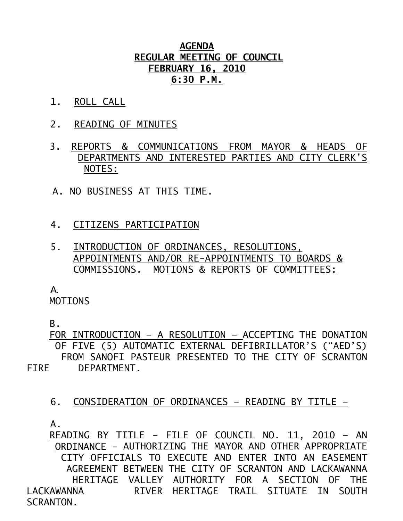## **AGENDA REGULAR MEETING OF COUNCIL FEBRUARY 16, 2010 6:30 P.M.**

- 1. ROLL CALL
- 2. READING OF MINUTES
- 3. REPORTS & COMMUNICATIONS FROM MAYOR & HEADS OF DEPARTMENTS AND INTERESTED PARTIES AND CITY CLERK'S NOTES:
- A. NO BUSINESS AT THIS TIME.
- 4. CITIZENS PARTICIPATION
- 5. INTRODUCTION OF ORDINANCES, RESOLUTIONS, APPOINTMENTS AND/OR RE-APPOINTMENTS TO BOARDS & COMMISSIONS. MOTIONS & REPORTS OF COMMITTEES:

A.

**MOTIONS** 

B.

 FOR INTRODUCTION – A RESOLUTION – ACCEPTING THE DONATION OF FIVE (5) AUTOMATIC EXTERNAL DEFIBRILLATOR'S ("AED'S) FROM SANOFI PASTEUR PRESENTED TO THE CITY OF SCRANTON FIRE DEPARTMENT.

6. CONSIDERATION OF ORDINANCES – READING BY TITLE –

 $A<sub>-</sub>$ 

 READING BY TITLE – FILE OF COUNCIL NO. 11, 2010 – AN ORDINANCE - AUTHORIZING THE MAYOR AND OTHER APPROPRIATE CITY OFFICIALS TO EXECUTE AND ENTER INTO AN EASEMENT AGREEMENT BETWEEN THE CITY OF SCRANTON AND LACKAWANNA HERITAGE VALLEY AUTHORITY FOR A SECTION OF THE LACKAWANNA RIVER HERITAGE TRAIL SITUATE IN SOUTH SCRANTON.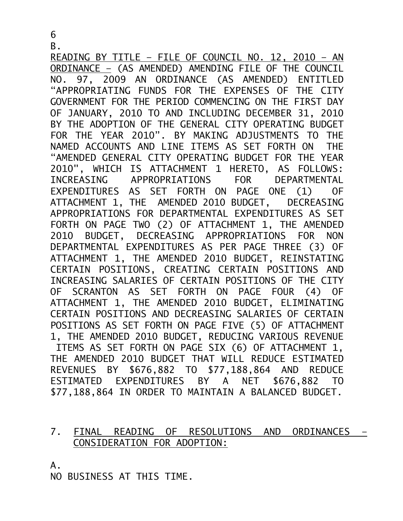B.

READING BY TITLE – FILE OF COUNCIL NO. 12, 2010 – AN ORDINANCE – (AS AMENDED) AMENDING FILE OF THE COUNCIL NO. 97, 2009 AN ORDINANCE (AS AMENDED) ENTITLED "APPROPRIATING FUNDS FOR THE EXPENSES OF THE CITY GOVERNMENT FOR THE PERIOD COMMENCING ON THE FIRST DAY OF JANUARY, 2010 TO AND INCLUDING DECEMBER 31, 2010 BY THE ADOPTION OF THE GENERAL CITY OPERATING BUDGET FOR THE YEAR 2010". BY MAKING ADJUSTMENTS TO THE NAMED ACCOUNTS AND LINE ITEMS AS SET FORTH ON THE "AMENDED GENERAL CITY OPERATING BUDGET FOR THE YEAR 2010", WHICH IS ATTACHMENT 1 HERETO, AS FOLLOWS: INCREASING APPROPRIATIONS FOR DEPARTMENTAL EXPENDITURES AS SET FORTH ON PAGE ONE (1) OF ATTACHMENT 1, THE AMENDED 2010 BUDGET, DECREASING APPROPRIATIONS FOR DEPARTMENTAL EXPENDITURES AS SET FORTH ON PAGE TWO (2) OF ATTACHMENT 1, THE AMENDED 2010 BUDGET, DECREASING APPROPRIATIONS FOR NON DEPARTMENTAL EXPENDITURES AS PER PAGE THREE (3) OF ATTACHMENT 1, THE AMENDED 2010 BUDGET, REINSTATING CERTAIN POSITIONS, CREATING CERTAIN POSITIONS AND INCREASING SALARIES OF CERTAIN POSITIONS OF THE CITY OF SCRANTON AS SET FORTH ON PAGE FOUR (4) OF ATTACHMENT 1, THE AMENDED 2010 BUDGET, ELIMINATING CERTAIN POSITIONS AND DECREASING SALARIES OF CERTAIN POSITIONS AS SET FORTH ON PAGE FIVE (5) OF ATTACHMENT 1, THE AMENDED 2010 BUDGET, REDUCING VARIOUS REVENUE ITEMS AS SET FORTH ON PAGE SIX (6) OF ATTACHMENT 1, THE AMENDED 2010 BUDGET THAT WILL REDUCE ESTIMATED REVENUES BY \$676,882 TO \$77,188,864 AND REDUCE ESTIMATED EXPENDITURES BY A NET \$676,882 TO \$77,188,864 IN ORDER TO MAINTAIN A BALANCED BUDGET.

## 7. FINAL READING OF RESOLUTIONS AND ORDINANCES – CONSIDERATION FOR ADOPTION:

A.